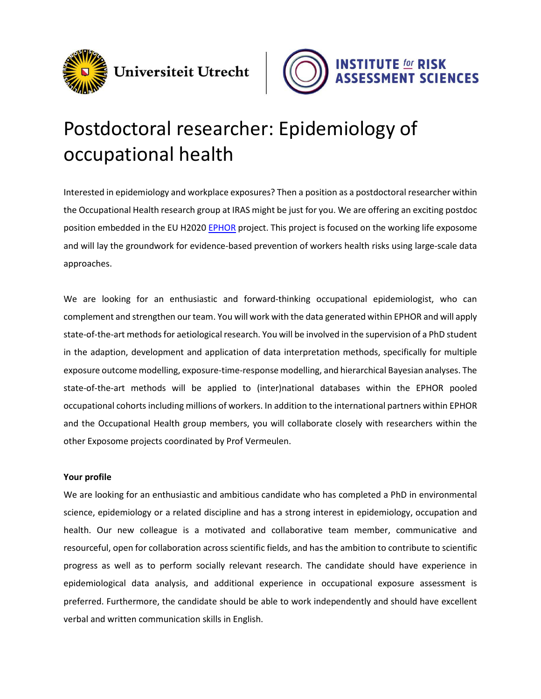



# Postdoctoral researcher: Epidemiology of occupational health

Interested in epidemiology and workplace exposures? Then a position as a postdoctoral researcher within the Occupational Health research group at IRAS might be just for you. We are offering an exciting postdoc position embedded in the EU H2020 [EPHOR](https://www.ephor-project.eu/) project. This project is focused on the working life exposome and will lay the groundwork for evidence-based prevention of workers health risks using large-scale data approaches.

We are looking for an enthusiastic and forward-thinking occupational epidemiologist, who can complement and strengthen our team. You will work with the data generated within EPHOR and will apply state-of-the-art methods for aetiological research. You will be involved in the supervision of a PhD student in the adaption, development and application of data interpretation methods, specifically for multiple exposure outcome modelling, exposure-time-response modelling, and hierarchical Bayesian analyses. The state-of-the-art methods will be applied to (inter)national databases within the EPHOR pooled occupational cohorts including millions of workers. In addition to the international partners within EPHOR and the Occupational Health group members, you will collaborate closely with researchers within the other Exposome projects coordinated by Prof Vermeulen.

## **Your profile**

We are looking for an enthusiastic and ambitious candidate who has completed a PhD in environmental science, epidemiology or a related discipline and has a strong interest in epidemiology, occupation and health. Our new colleague is a motivated and collaborative team member, communicative and resourceful, open for collaboration across scientific fields, and has the ambition to contribute to scientific progress as well as to perform socially relevant research. The candidate should have experience in epidemiological data analysis, and additional experience in occupational exposure assessment is preferred. Furthermore, the candidate should be able to work independently and should have excellent verbal and written communication skills in English.